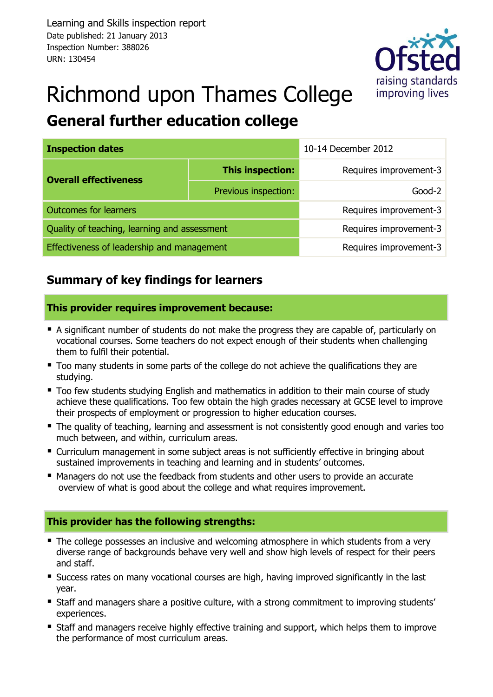

# Richmond upon Thames College **General further education college**

| <b>Inspection dates</b>                      |                        | 10-14 December 2012    |  |
|----------------------------------------------|------------------------|------------------------|--|
| <b>Overall effectiveness</b>                 | This inspection:       | Requires improvement-3 |  |
|                                              | Previous inspection:   | $Good-2$               |  |
| <b>Outcomes for learners</b>                 | Requires improvement-3 |                        |  |
| Quality of teaching, learning and assessment | Requires improvement-3 |                        |  |
| Effectiveness of leadership and management   |                        | Requires improvement-3 |  |

## **Summary of key findings for learners**

#### **This provider requires improvement because:**

- A significant number of students do not make the progress they are capable of, particularly on vocational courses. Some teachers do not expect enough of their students when challenging them to fulfil their potential.
- $\blacksquare$  Too many students in some parts of the college do not achieve the qualifications they are studying.
- Too few students studying English and mathematics in addition to their main course of study achieve these qualifications. Too few obtain the high grades necessary at GCSE level to improve their prospects of employment or progression to higher education courses.
- The quality of teaching, learning and assessment is not consistently good enough and varies too much between, and within, curriculum areas.
- Curriculum management in some subject areas is not sufficiently effective in bringing about sustained improvements in teaching and learning and in students' outcomes.
- Managers do not use the feedback from students and other users to provide an accurate overview of what is good about the college and what requires improvement.

#### **This provider has the following strengths:**

- The college possesses an inclusive and welcoming atmosphere in which students from a very diverse range of backgrounds behave very well and show high levels of respect for their peers and staff.
- Success rates on many vocational courses are high, having improved significantly in the last year.
- Staff and managers share a positive culture, with a strong commitment to improving students' experiences.
- **Staff and managers receive highly effective training and support, which helps them to improve** the performance of most curriculum areas.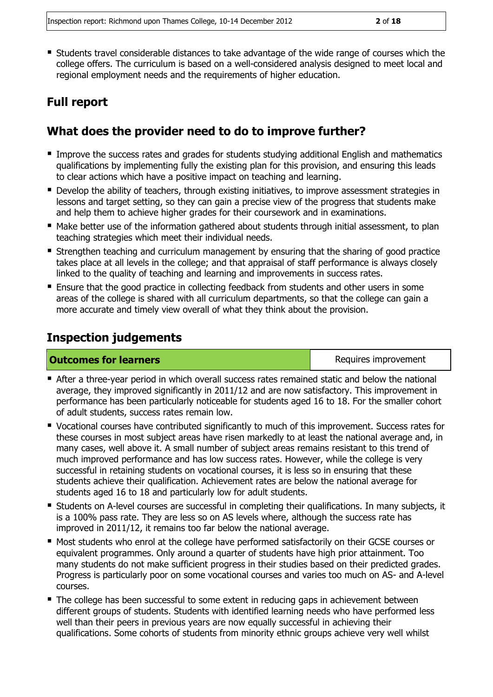Students travel considerable distances to take advantage of the wide range of courses which the college offers. The curriculum is based on a well-considered analysis designed to meet local and regional employment needs and the requirements of higher education.

## **Full report**

## **What does the provider need to do to improve further?**

- **IMPROVE THE SUCCESS rates and grades for students studying additional English and mathematics** qualifications by implementing fully the existing plan for this provision, and ensuring this leads to clear actions which have a positive impact on teaching and learning.
- **Develop the ability of teachers, through existing initiatives, to improve assessment strategies in** lessons and target setting, so they can gain a precise view of the progress that students make and help them to achieve higher grades for their coursework and in examinations.
- Make better use of the information gathered about students through initial assessment, to plan teaching strategies which meet their individual needs.
- Strengthen teaching and curriculum management by ensuring that the sharing of good practice takes place at all levels in the college; and that appraisal of staff performance is always closely linked to the quality of teaching and learning and improvements in success rates.
- Ensure that the good practice in collecting feedback from students and other users in some areas of the college is shared with all curriculum departments, so that the college can gain a more accurate and timely view overall of what they think about the provision.

## **Inspection judgements**

#### **Outcomes for learners Requires improvement Requires improvement**

- After a three-year period in which overall success rates remained static and below the national average, they improved significantly in 2011/12 and are now satisfactory. This improvement in performance has been particularly noticeable for students aged 16 to 18. For the smaller cohort of adult students, success rates remain low.
- Vocational courses have contributed significantly to much of this improvement. Success rates for these courses in most subject areas have risen markedly to at least the national average and, in many cases, well above it. A small number of subject areas remains resistant to this trend of much improved performance and has low success rates. However, while the college is very successful in retaining students on vocational courses, it is less so in ensuring that these students achieve their qualification. Achievement rates are below the national average for students aged 16 to 18 and particularly low for adult students.
- Students on A-level courses are successful in completing their qualifications. In many subjects, it is a 100% pass rate. They are less so on AS levels where, although the success rate has improved in 2011/12, it remains too far below the national average.
- Most students who enrol at the college have performed satisfactorily on their GCSE courses or equivalent programmes. Only around a quarter of students have high prior attainment. Too many students do not make sufficient progress in their studies based on their predicted grades. Progress is particularly poor on some vocational courses and varies too much on AS- and A-level courses.
- The college has been successful to some extent in reducing gaps in achievement between different groups of students. Students with identified learning needs who have performed less well than their peers in previous years are now equally successful in achieving their qualifications. Some cohorts of students from minority ethnic groups achieve very well whilst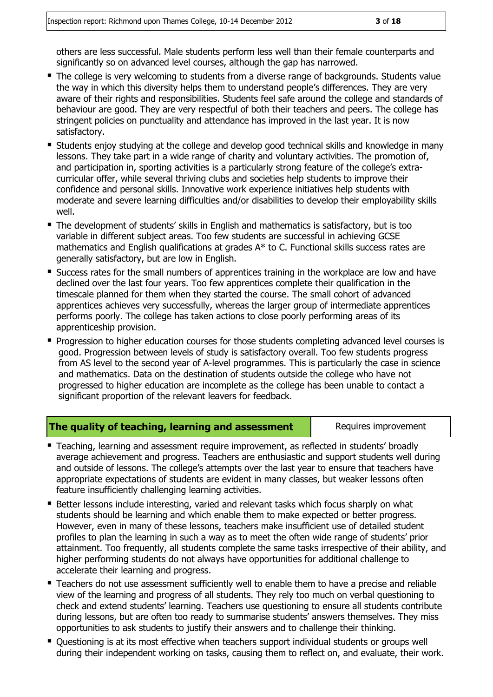others are less successful. Male students perform less well than their female counterparts and significantly so on advanced level courses, although the gap has narrowed.

- The college is very welcoming to students from a diverse range of backgrounds. Students value the way in which this diversity helps them to understand people's differences. They are very aware of their rights and responsibilities. Students feel safe around the college and standards of behaviour are good. They are very respectful of both their teachers and peers. The college has stringent policies on punctuality and attendance has improved in the last year. It is now satisfactory.
- **Students enjoy studying at the college and develop good technical skills and knowledge in many** lessons. They take part in a wide range of charity and voluntary activities. The promotion of, and participation in, sporting activities is a particularly strong feature of the college's extracurricular offer, while several thriving clubs and societies help students to improve their confidence and personal skills. Innovative work experience initiatives help students with moderate and severe learning difficulties and/or disabilities to develop their employability skills well.
- The development of students' skills in English and mathematics is satisfactory, but is too variable in different subject areas. Too few students are successful in achieving GCSE mathematics and English qualifications at grades A\* to C. Functional skills success rates are generally satisfactory, but are low in English.
- **Success rates for the small numbers of apprentices training in the workplace are low and have** declined over the last four years. Too few apprentices complete their qualification in the timescale planned for them when they started the course. The small cohort of advanced apprentices achieves very successfully, whereas the larger group of intermediate apprentices performs poorly. The college has taken actions to close poorly performing areas of its apprenticeship provision.
- **Progression to higher education courses for those students completing advanced level courses is** good. Progression between levels of study is satisfactory overall. Too few students progress from AS level to the second year of A-level programmes. This is particularly the case in science and mathematics. Data on the destination of students outside the college who have not progressed to higher education are incomplete as the college has been unable to contact a significant proportion of the relevant leavers for feedback.

#### **The quality of teaching, learning and assessment Requires improvement**

- Teaching, learning and assessment require improvement, as reflected in students' broadly average achievement and progress. Teachers are enthusiastic and support students well during and outside of lessons. The college's attempts over the last year to ensure that teachers have appropriate expectations of students are evident in many classes, but weaker lessons often feature insufficiently challenging learning activities.
- **Better lessons include interesting, varied and relevant tasks which focus sharply on what** students should be learning and which enable them to make expected or better progress. However, even in many of these lessons, teachers make insufficient use of detailed student profiles to plan the learning in such a way as to meet the often wide range of students' prior attainment. Too frequently, all students complete the same tasks irrespective of their ability, and higher performing students do not always have opportunities for additional challenge to accelerate their learning and progress.
- **Teachers do not use assessment sufficiently well to enable them to have a precise and reliable** view of the learning and progress of all students. They rely too much on verbal questioning to check and extend students' learning. Teachers use questioning to ensure all students contribute during lessons, but are often too ready to summarise students' answers themselves. They miss opportunities to ask students to justify their answers and to challenge their thinking.
- Questioning is at its most effective when teachers support individual students or groups well during their independent working on tasks, causing them to reflect on, and evaluate, their work.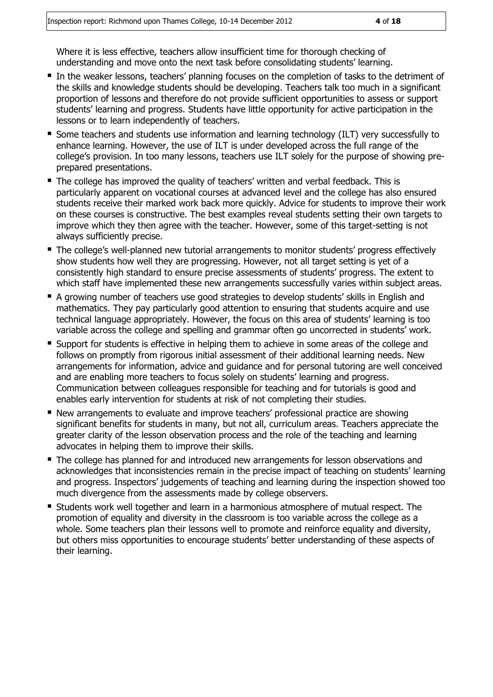Where it is less effective, teachers allow insufficient time for thorough checking of understanding and move onto the next task before consolidating students' learning.

- In the weaker lessons, teachers' planning focuses on the completion of tasks to the detriment of the skills and knowledge students should be developing. Teachers talk too much in a significant proportion of lessons and therefore do not provide sufficient opportunities to assess or support students' learning and progress. Students have little opportunity for active participation in the lessons or to learn independently of teachers.
- Some teachers and students use information and learning technology (ILT) very successfully to enhance learning. However, the use of ILT is under developed across the full range of the college's provision. In too many lessons, teachers use ILT solely for the purpose of showing preprepared presentations.
- The college has improved the quality of teachers' written and verbal feedback. This is particularly apparent on vocational courses at advanced level and the college has also ensured students receive their marked work back more quickly. Advice for students to improve their work on these courses is constructive. The best examples reveal students setting their own targets to improve which they then agree with the teacher. However, some of this target-setting is not always sufficiently precise.
- The college's well-planned new tutorial arrangements to monitor students' progress effectively show students how well they are progressing. However, not all target setting is yet of a consistently high standard to ensure precise assessments of students' progress. The extent to which staff have implemented these new arrangements successfully varies within subject areas.
- A growing number of teachers use good strategies to develop students' skills in English and mathematics. They pay particularly good attention to ensuring that students acquire and use technical language appropriately. However, the focus on this area of students' learning is too variable across the college and spelling and grammar often go uncorrected in students' work.
- **E** Support for students is effective in helping them to achieve in some areas of the college and follows on promptly from rigorous initial assessment of their additional learning needs. New arrangements for information, advice and guidance and for personal tutoring are well conceived and are enabling more teachers to focus solely on students' learning and progress. Communication between colleagues responsible for teaching and for tutorials is good and enables early intervention for students at risk of not completing their studies.
- New arrangements to evaluate and improve teachers' professional practice are showing significant benefits for students in many, but not all, curriculum areas. Teachers appreciate the greater clarity of the lesson observation process and the role of the teaching and learning advocates in helping them to improve their skills.
- **The college has planned for and introduced new arrangements for lesson observations and** acknowledges that inconsistencies remain in the precise impact of teaching on students' learning and progress. Inspectors' judgements of teaching and learning during the inspection showed too much divergence from the assessments made by college observers.
- Students work well together and learn in a harmonious atmosphere of mutual respect. The promotion of equality and diversity in the classroom is too variable across the college as a whole. Some teachers plan their lessons well to promote and reinforce equality and diversity, but others miss opportunities to encourage students' better understanding of these aspects of their learning.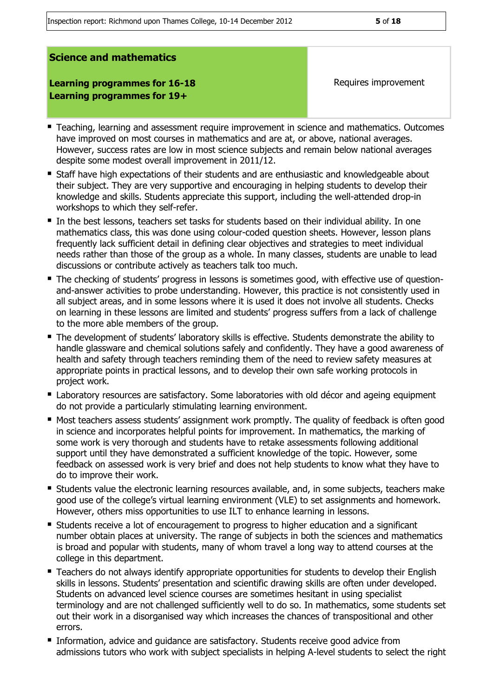Inspection report: Richmond upon Thames College, 10-14 December 2012 **5** of **18**

#### **Science and mathematics**

**Learning programmes for 16-18 Learning programmes for 19+**

Requires improvement

- Teaching, learning and assessment require improvement in science and mathematics. Outcomes have improved on most courses in mathematics and are at, or above, national averages. However, success rates are low in most science subjects and remain below national averages despite some modest overall improvement in 2011/12.
- Staff have high expectations of their students and are enthusiastic and knowledgeable about their subject. They are very supportive and encouraging in helping students to develop their knowledge and skills. Students appreciate this support, including the well-attended drop-in workshops to which they self-refer.
- In the best lessons, teachers set tasks for students based on their individual ability. In one mathematics class, this was done using colour-coded question sheets. However, lesson plans frequently lack sufficient detail in defining clear objectives and strategies to meet individual needs rather than those of the group as a whole. In many classes, students are unable to lead discussions or contribute actively as teachers talk too much.
- The checking of students' progress in lessons is sometimes good, with effective use of questionand-answer activities to probe understanding. However, this practice is not consistently used in all subject areas, and in some lessons where it is used it does not involve all students. Checks on learning in these lessons are limited and students' progress suffers from a lack of challenge to the more able members of the group.
- The development of students' laboratory skills is effective. Students demonstrate the ability to handle glassware and chemical solutions safely and confidently. They have a good awareness of health and safety through teachers reminding them of the need to review safety measures at appropriate points in practical lessons, and to develop their own safe working protocols in project work.
- **E** Laboratory resources are satisfactory. Some laboratories with old décor and ageing equipment do not provide a particularly stimulating learning environment.
- Most teachers assess students' assignment work promptly. The quality of feedback is often good in science and incorporates helpful points for improvement. In mathematics, the marking of some work is very thorough and students have to retake assessments following additional support until they have demonstrated a sufficient knowledge of the topic. However, some feedback on assessed work is very brief and does not help students to know what they have to do to improve their work.
- **Students value the electronic learning resources available, and, in some subjects, teachers make** good use of the college's virtual learning environment (VLE) to set assignments and homework. However, others miss opportunities to use ILT to enhance learning in lessons.
- Students receive a lot of encouragement to progress to higher education and a significant number obtain places at university. The range of subjects in both the sciences and mathematics is broad and popular with students, many of whom travel a long way to attend courses at the college in this department.
- **Teachers do not always identify appropriate opportunities for students to develop their English** skills in lessons. Students' presentation and scientific drawing skills are often under developed. Students on advanced level science courses are sometimes hesitant in using specialist terminology and are not challenged sufficiently well to do so. In mathematics, some students set out their work in a disorganised way which increases the chances of transpositional and other errors.
- **Information, advice and quidance are satisfactory. Students receive good advice from** admissions tutors who work with subject specialists in helping A-level students to select the right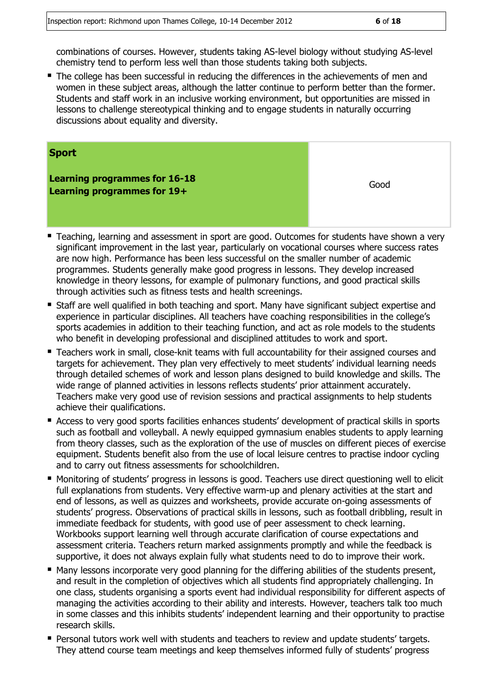combinations of courses. However, students taking AS-level biology without studying AS-level chemistry tend to perform less well than those students taking both subjects.

The college has been successful in reducing the differences in the achievements of men and women in these subject areas, although the latter continue to perform better than the former. Students and staff work in an inclusive working environment, but opportunities are missed in lessons to challenge stereotypical thinking and to engage students in naturally occurring discussions about equality and diversity.

| <b>Sport</b>                                                        |      |
|---------------------------------------------------------------------|------|
| <b>Learning programmes for 16-18</b><br>Learning programmes for 19+ | Good |

- Teaching, learning and assessment in sport are good. Outcomes for students have shown a very significant improvement in the last year, particularly on vocational courses where success rates are now high. Performance has been less successful on the smaller number of academic programmes. Students generally make good progress in lessons. They develop increased knowledge in theory lessons, for example of pulmonary functions, and good practical skills through activities such as fitness tests and health screenings.
- Staff are well qualified in both teaching and sport. Many have significant subject expertise and experience in particular disciplines. All teachers have coaching responsibilities in the college's sports academies in addition to their teaching function, and act as role models to the students who benefit in developing professional and disciplined attitudes to work and sport.
- **Teachers work in small, close-knit teams with full accountability for their assigned courses and** targets for achievement. They plan very effectively to meet students' individual learning needs through detailed schemes of work and lesson plans designed to build knowledge and skills. The wide range of planned activities in lessons reflects students' prior attainment accurately. Teachers make very good use of revision sessions and practical assignments to help students achieve their qualifications.
- Access to very good sports facilities enhances students' development of practical skills in sports such as football and volleyball. A newly equipped gymnasium enables students to apply learning from theory classes, such as the exploration of the use of muscles on different pieces of exercise equipment. Students benefit also from the use of local leisure centres to practise indoor cycling and to carry out fitness assessments for schoolchildren.
- Monitoring of students' progress in lessons is good. Teachers use direct questioning well to elicit full explanations from students. Very effective warm-up and plenary activities at the start and end of lessons, as well as quizzes and worksheets, provide accurate on-going assessments of students' progress. Observations of practical skills in lessons, such as football dribbling, result in immediate feedback for students, with good use of peer assessment to check learning. Workbooks support learning well through accurate clarification of course expectations and assessment criteria. Teachers return marked assignments promptly and while the feedback is supportive, it does not always explain fully what students need to do to improve their work.
- Many lessons incorporate very good planning for the differing abilities of the students present, and result in the completion of objectives which all students find appropriately challenging. In one class, students organising a sports event had individual responsibility for different aspects of managing the activities according to their ability and interests. However, teachers talk too much in some classes and this inhibits students' independent learning and their opportunity to practise research skills.
- Personal tutors work well with students and teachers to review and update students' targets. They attend course team meetings and keep themselves informed fully of students' progress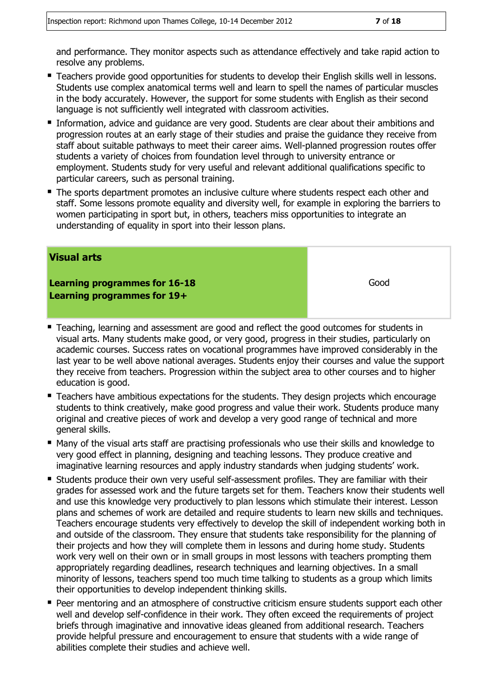and performance. They monitor aspects such as attendance effectively and take rapid action to resolve any problems.

- **Teachers provide good opportunities for students to develop their English skills well in lessons.** Students use complex anatomical terms well and learn to spell the names of particular muscles in the body accurately. However, the support for some students with English as their second language is not sufficiently well integrated with classroom activities.
- **Information, advice and quidance are very good. Students are clear about their ambitions and** progression routes at an early stage of their studies and praise the guidance they receive from staff about suitable pathways to meet their career aims. Well-planned progression routes offer students a variety of choices from foundation level through to university entrance or employment. Students study for very useful and relevant additional qualifications specific to particular careers, such as personal training.
- The sports department promotes an inclusive culture where students respect each other and staff. Some lessons promote equality and diversity well, for example in exploring the barriers to women participating in sport but, in others, teachers miss opportunities to integrate an understanding of equality in sport into their lesson plans.

#### **Visual arts**

**Learning programmes for 16-18 Learning programmes for 19+**

Good

- Teaching, learning and assessment are good and reflect the good outcomes for students in visual arts. Many students make good, or very good, progress in their studies, particularly on academic courses. Success rates on vocational programmes have improved considerably in the last year to be well above national averages. Students enjoy their courses and value the support they receive from teachers. Progression within the subject area to other courses and to higher education is good.
- Teachers have ambitious expectations for the students. They design projects which encourage students to think creatively, make good progress and value their work. Students produce many original and creative pieces of work and develop a very good range of technical and more general skills.
- Many of the visual arts staff are practising professionals who use their skills and knowledge to very good effect in planning, designing and teaching lessons. They produce creative and imaginative learning resources and apply industry standards when judging students' work.
- **Students produce their own very useful self-assessment profiles. They are familiar with their 4** grades for assessed work and the future targets set for them. Teachers know their students well and use this knowledge very productively to plan lessons which stimulate their interest. Lesson plans and schemes of work are detailed and require students to learn new skills and techniques. Teachers encourage students very effectively to develop the skill of independent working both in and outside of the classroom. They ensure that students take responsibility for the planning of their projects and how they will complete them in lessons and during home study. Students work very well on their own or in small groups in most lessons with teachers prompting them appropriately regarding deadlines, research techniques and learning objectives. In a small minority of lessons, teachers spend too much time talking to students as a group which limits their opportunities to develop independent thinking skills.
- Peer mentoring and an atmosphere of constructive criticism ensure students support each other well and develop self-confidence in their work. They often exceed the requirements of project briefs through imaginative and innovative ideas gleaned from additional research. Teachers provide helpful pressure and encouragement to ensure that students with a wide range of abilities complete their studies and achieve well.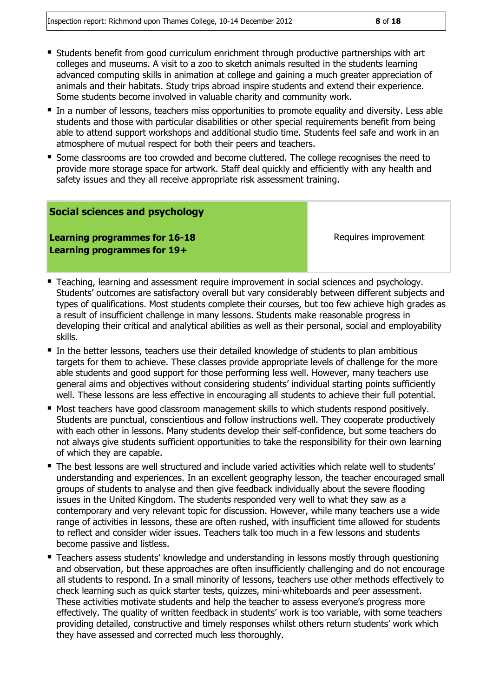- Students benefit from good curriculum enrichment through productive partnerships with art colleges and museums. A visit to a zoo to sketch animals resulted in the students learning advanced computing skills in animation at college and gaining a much greater appreciation of animals and their habitats. Study trips abroad inspire students and extend their experience. Some students become involved in valuable charity and community work.
- In a number of lessons, teachers miss opportunities to promote equality and diversity. Less able students and those with particular disabilities or other special requirements benefit from being able to attend support workshops and additional studio time. Students feel safe and work in an atmosphere of mutual respect for both their peers and teachers.
- Some classrooms are too crowded and become cluttered. The college recognises the need to provide more storage space for artwork. Staff deal quickly and efficiently with any health and safety issues and they all receive appropriate risk assessment training.

#### **Social sciences and psychology**

**Learning programmes for 16-18 Learning programmes for 19+**

Requires improvement

- **Teaching, learning and assessment require improvement in social sciences and psychology.** Students' outcomes are satisfactory overall but vary considerably between different subjects and types of qualifications. Most students complete their courses, but too few achieve high grades as a result of insufficient challenge in many lessons. Students make reasonable progress in developing their critical and analytical abilities as well as their personal, social and employability skills.
- In the better lessons, teachers use their detailed knowledge of students to plan ambitious targets for them to achieve. These classes provide appropriate levels of challenge for the more able students and good support for those performing less well. However, many teachers use general aims and objectives without considering students' individual starting points sufficiently well. These lessons are less effective in encouraging all students to achieve their full potential.
- Most teachers have good classroom management skills to which students respond positively. Students are punctual, conscientious and follow instructions well. They cooperate productively with each other in lessons. Many students develop their self-confidence, but some teachers do not always give students sufficient opportunities to take the responsibility for their own learning of which they are capable.
- The best lessons are well structured and include varied activities which relate well to students' understanding and experiences. In an excellent geography lesson, the teacher encouraged small groups of students to analyse and then give feedback individually about the severe flooding issues in the United Kingdom. The students responded very well to what they saw as a contemporary and very relevant topic for discussion. However, while many teachers use a wide range of activities in lessons, these are often rushed, with insufficient time allowed for students to reflect and consider wider issues. Teachers talk too much in a few lessons and students become passive and listless.
- **Teachers assess students' knowledge and understanding in lessons mostly through questioning** and observation, but these approaches are often insufficiently challenging and do not encourage all students to respond. In a small minority of lessons, teachers use other methods effectively to check learning such as quick starter tests, quizzes, mini-whiteboards and peer assessment. These activities motivate students and help the teacher to assess everyone's progress more effectively. The quality of written feedback in students' work is too variable, with some teachers providing detailed, constructive and timely responses whilst others return students' work which they have assessed and corrected much less thoroughly.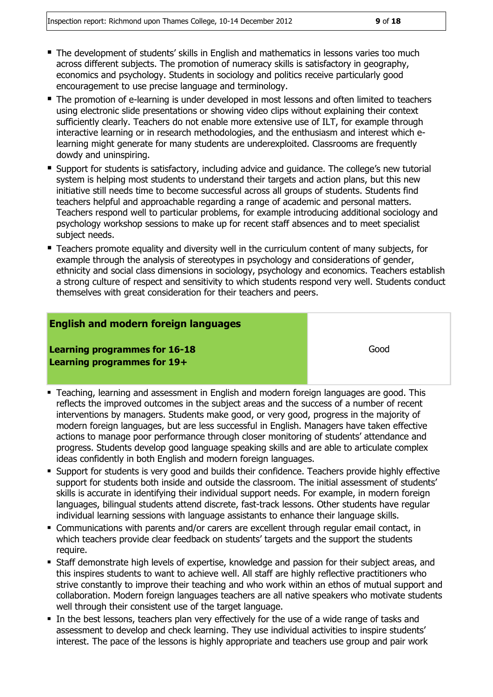- The development of students' skills in English and mathematics in lessons varies too much across different subjects. The promotion of numeracy skills is satisfactory in geography, economics and psychology. Students in sociology and politics receive particularly good encouragement to use precise language and terminology.
- The promotion of e-learning is under developed in most lessons and often limited to teachers using electronic slide presentations or showing video clips without explaining their context sufficiently clearly. Teachers do not enable more extensive use of ILT, for example through interactive learning or in research methodologies, and the enthusiasm and interest which elearning might generate for many students are underexploited. Classrooms are frequently dowdy and uninspiring.
- Support for students is satisfactory, including advice and guidance. The college's new tutorial system is helping most students to understand their targets and action plans, but this new initiative still needs time to become successful across all groups of students. Students find teachers helpful and approachable regarding a range of academic and personal matters. Teachers respond well to particular problems, for example introducing additional sociology and psychology workshop sessions to make up for recent staff absences and to meet specialist subject needs.
- **Teachers promote equality and diversity well in the curriculum content of many subjects, for** example through the analysis of stereotypes in psychology and considerations of gender, ethnicity and social class dimensions in sociology, psychology and economics. Teachers establish a strong culture of respect and sensitivity to which students respond very well. Students conduct themselves with great consideration for their teachers and peers.

#### **English and modern foreign languages**

**Learning programmes for 16-18 Learning programmes for 19+**

Good

- Teaching, learning and assessment in English and modern foreign languages are good. This reflects the improved outcomes in the subject areas and the success of a number of recent interventions by managers. Students make good, or very good, progress in the majority of modern foreign languages, but are less successful in English. Managers have taken effective actions to manage poor performance through closer monitoring of students' attendance and progress. Students develop good language speaking skills and are able to articulate complex ideas confidently in both English and modern foreign languages.
- Support for students is very good and builds their confidence. Teachers provide highly effective support for students both inside and outside the classroom. The initial assessment of students' skills is accurate in identifying their individual support needs. For example, in modern foreign languages, bilingual students attend discrete, fast-track lessons. Other students have regular individual learning sessions with language assistants to enhance their language skills.
- Communications with parents and/or carers are excellent through regular email contact, in which teachers provide clear feedback on students' targets and the support the students require.
- Staff demonstrate high levels of expertise, knowledge and passion for their subject areas, and this inspires students to want to achieve well. All staff are highly reflective practitioners who strive constantly to improve their teaching and who work within an ethos of mutual support and collaboration. Modern foreign languages teachers are all native speakers who motivate students well through their consistent use of the target language.
- In the best lessons, teachers plan very effectively for the use of a wide range of tasks and assessment to develop and check learning. They use individual activities to inspire students' interest. The pace of the lessons is highly appropriate and teachers use group and pair work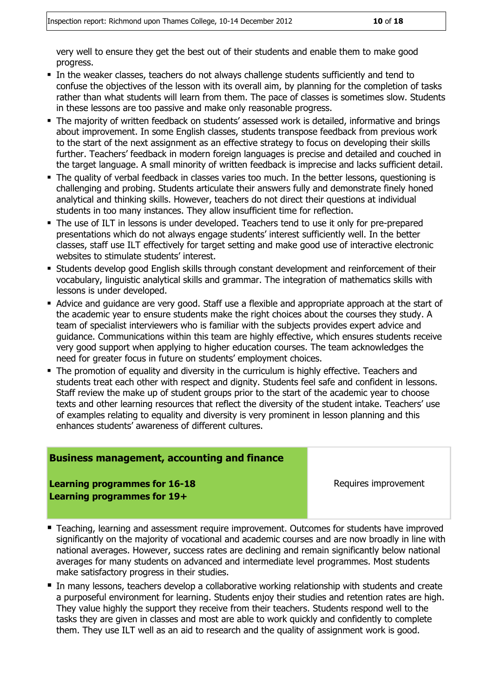very well to ensure they get the best out of their students and enable them to make good progress.

- In the weaker classes, teachers do not always challenge students sufficiently and tend to confuse the objectives of the lesson with its overall aim, by planning for the completion of tasks rather than what students will learn from them. The pace of classes is sometimes slow. Students in these lessons are too passive and make only reasonable progress.
- The majority of written feedback on students' assessed work is detailed, informative and brings about improvement. In some English classes, students transpose feedback from previous work to the start of the next assignment as an effective strategy to focus on developing their skills further. Teachers' feedback in modern foreign languages is precise and detailed and couched in the target language. A small minority of written feedback is imprecise and lacks sufficient detail.
- The quality of verbal feedback in classes varies too much. In the better lessons, questioning is challenging and probing. Students articulate their answers fully and demonstrate finely honed analytical and thinking skills. However, teachers do not direct their questions at individual students in too many instances. They allow insufficient time for reflection.
- The use of ILT in lessons is under developed. Teachers tend to use it only for pre-prepared presentations which do not always engage students' interest sufficiently well. In the better classes, staff use ILT effectively for target setting and make good use of interactive electronic websites to stimulate students' interest.
- Students develop good English skills through constant development and reinforcement of their vocabulary, linguistic analytical skills and grammar. The integration of mathematics skills with lessons is under developed.
- Advice and guidance are very good. Staff use a flexible and appropriate approach at the start of the academic year to ensure students make the right choices about the courses they study. A team of specialist interviewers who is familiar with the subjects provides expert advice and guidance. Communications within this team are highly effective, which ensures students receive very good support when applying to higher education courses. The team acknowledges the need for greater focus in future on students' employment choices.
- **The promotion of equality and diversity in the curriculum is highly effective. Teachers and** students treat each other with respect and dignity. Students feel safe and confident in lessons. Staff review the make up of student groups prior to the start of the academic year to choose texts and other learning resources that reflect the diversity of the student intake. Teachers' use of examples relating to equality and diversity is very prominent in lesson planning and this enhances students' awareness of different cultures.

#### **Business management, accounting and finance**

**Learning programmes for 16-18 Learning programmes for 19+**

Requires improvement

- **Teaching, learning and assessment require improvement. Outcomes for students have improved** significantly on the majority of vocational and academic courses and are now broadly in line with national averages. However, success rates are declining and remain significantly below national averages for many students on advanced and intermediate level programmes. Most students make satisfactory progress in their studies.
- In many lessons, teachers develop a collaborative working relationship with students and create a purposeful environment for learning. Students enjoy their studies and retention rates are high. They value highly the support they receive from their teachers. Students respond well to the tasks they are given in classes and most are able to work quickly and confidently to complete them. They use ILT well as an aid to research and the quality of assignment work is good.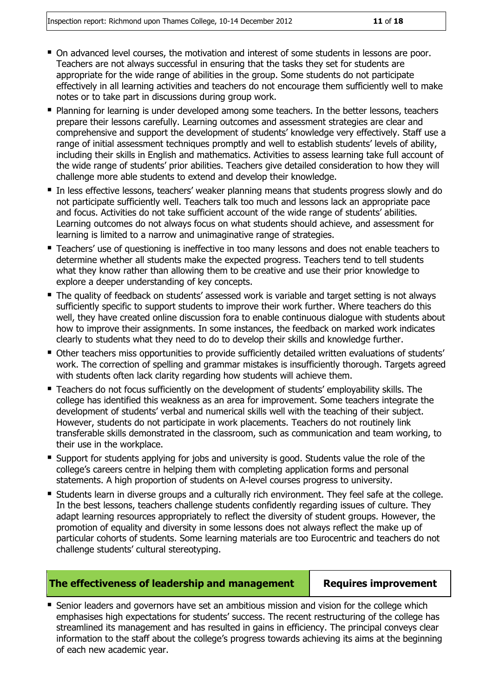- On advanced level courses, the motivation and interest of some students in lessons are poor. Teachers are not always successful in ensuring that the tasks they set for students are appropriate for the wide range of abilities in the group. Some students do not participate effectively in all learning activities and teachers do not encourage them sufficiently well to make notes or to take part in discussions during group work.
- **Planning for learning is under developed among some teachers. In the better lessons, teachers** prepare their lessons carefully. Learning outcomes and assessment strategies are clear and comprehensive and support the development of students' knowledge very effectively. Staff use a range of initial assessment techniques promptly and well to establish students' levels of ability, including their skills in English and mathematics. Activities to assess learning take full account of the wide range of students' prior abilities. Teachers give detailed consideration to how they will challenge more able students to extend and develop their knowledge.
- In less effective lessons, teachers' weaker planning means that students progress slowly and do not participate sufficiently well. Teachers talk too much and lessons lack an appropriate pace and focus. Activities do not take sufficient account of the wide range of students' abilities. Learning outcomes do not always focus on what students should achieve, and assessment for learning is limited to a narrow and unimaginative range of strategies.
- **Teachers' use of questioning is ineffective in too many lessons and does not enable teachers to** determine whether all students make the expected progress. Teachers tend to tell students what they know rather than allowing them to be creative and use their prior knowledge to explore a deeper understanding of key concepts.
- The quality of feedback on students' assessed work is variable and target setting is not always sufficiently specific to support students to improve their work further. Where teachers do this well, they have created online discussion fora to enable continuous dialogue with students about how to improve their assignments. In some instances, the feedback on marked work indicates clearly to students what they need to do to develop their skills and knowledge further.
- Other teachers miss opportunities to provide sufficiently detailed written evaluations of students' work. The correction of spelling and grammar mistakes is insufficiently thorough. Targets agreed with students often lack clarity regarding how students will achieve them.
- Teachers do not focus sufficiently on the development of students' employability skills. The college has identified this weakness as an area for improvement. Some teachers integrate the development of students' verbal and numerical skills well with the teaching of their subject. However, students do not participate in work placements. Teachers do not routinely link transferable skills demonstrated in the classroom, such as communication and team working, to their use in the workplace.
- Support for students applying for jobs and university is good. Students value the role of the college's careers centre in helping them with completing application forms and personal statements. A high proportion of students on A-level courses progress to university.
- Students learn in diverse groups and a culturally rich environment. They feel safe at the college. In the best lessons, teachers challenge students confidently regarding issues of culture. They adapt learning resources appropriately to reflect the diversity of student groups. However, the promotion of equality and diversity in some lessons does not always reflect the make up of particular cohorts of students. Some learning materials are too Eurocentric and teachers do not challenge students' cultural stereotyping.

#### **The effectiveness of leadership and management Requires improvement**

■ Senior leaders and governors have set an ambitious mission and vision for the college which emphasises high expectations for students' success. The recent restructuring of the college has streamlined its management and has resulted in gains in efficiency. The principal conveys clear information to the staff about the college's progress towards achieving its aims at the beginning of each new academic year.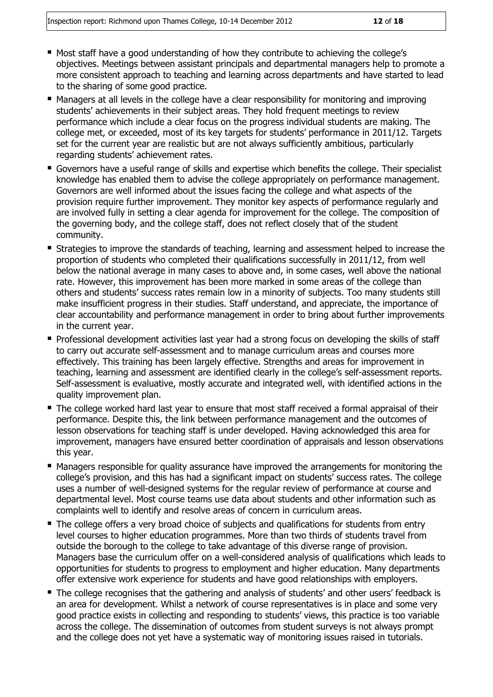- Most staff have a good understanding of how they contribute to achieving the college's objectives. Meetings between assistant principals and departmental managers help to promote a more consistent approach to teaching and learning across departments and have started to lead to the sharing of some good practice.
- Managers at all levels in the college have a clear responsibility for monitoring and improving students' achievements in their subject areas. They hold frequent meetings to review performance which include a clear focus on the progress individual students are making. The college met, or exceeded, most of its key targets for students' performance in 2011/12. Targets set for the current year are realistic but are not always sufficiently ambitious, particularly regarding students' achievement rates.
- Governors have a useful range of skills and expertise which benefits the college. Their specialist knowledge has enabled them to advise the college appropriately on performance management. Governors are well informed about the issues facing the college and what aspects of the provision require further improvement. They monitor key aspects of performance regularly and are involved fully in setting a clear agenda for improvement for the college. The composition of the governing body, and the college staff, does not reflect closely that of the student community.
- **Strategies to improve the standards of teaching, learning and assessment helped to increase the** proportion of students who completed their qualifications successfully in 2011/12, from well below the national average in many cases to above and, in some cases, well above the national rate. However, this improvement has been more marked in some areas of the college than others and students' success rates remain low in a minority of subjects. Too many students still make insufficient progress in their studies. Staff understand, and appreciate, the importance of clear accountability and performance management in order to bring about further improvements in the current year.
- **Professional development activities last year had a strong focus on developing the skills of staff** to carry out accurate self-assessment and to manage curriculum areas and courses more effectively. This training has been largely effective. Strengths and areas for improvement in teaching, learning and assessment are identified clearly in the college's self-assessment reports. Self-assessment is evaluative, mostly accurate and integrated well, with identified actions in the quality improvement plan.
- The college worked hard last year to ensure that most staff received a formal appraisal of their performance. Despite this, the link between performance management and the outcomes of lesson observations for teaching staff is under developed. Having acknowledged this area for improvement, managers have ensured better coordination of appraisals and lesson observations this year.
- Managers responsible for quality assurance have improved the arrangements for monitoring the college's provision, and this has had a significant impact on students' success rates. The college uses a number of well-designed systems for the regular review of performance at course and departmental level. Most course teams use data about students and other information such as complaints well to identify and resolve areas of concern in curriculum areas.
- The college offers a very broad choice of subjects and qualifications for students from entry level courses to higher education programmes. More than two thirds of students travel from outside the borough to the college to take advantage of this diverse range of provision. Managers base the curriculum offer on a well-considered analysis of qualifications which leads to opportunities for students to progress to employment and higher education. Many departments offer extensive work experience for students and have good relationships with employers.
- The college recognises that the gathering and analysis of students' and other users' feedback is an area for development. Whilst a network of course representatives is in place and some very good practice exists in collecting and responding to students' views, this practice is too variable across the college. The dissemination of outcomes from student surveys is not always prompt and the college does not yet have a systematic way of monitoring issues raised in tutorials.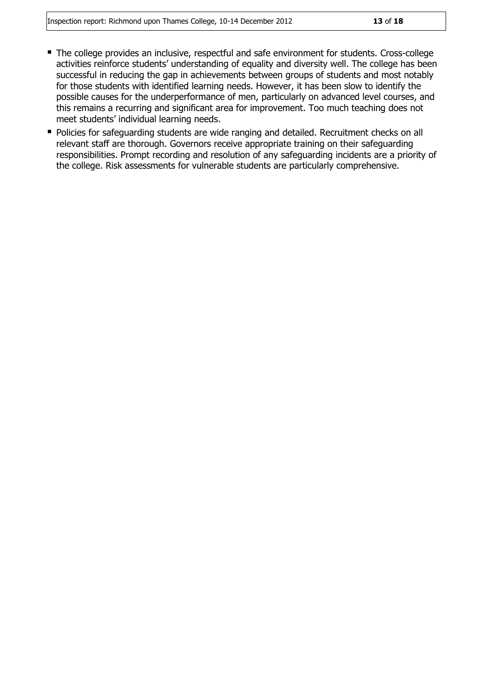- The college provides an inclusive, respectful and safe environment for students. Cross-college activities reinforce students' understanding of equality and diversity well. The college has been successful in reducing the gap in achievements between groups of students and most notably for those students with identified learning needs. However, it has been slow to identify the possible causes for the underperformance of men, particularly on advanced level courses, and this remains a recurring and significant area for improvement. Too much teaching does not meet students' individual learning needs.
- **Policies for safeguarding students are wide ranging and detailed. Recruitment checks on all** relevant staff are thorough. Governors receive appropriate training on their safeguarding responsibilities. Prompt recording and resolution of any safeguarding incidents are a priority of the college. Risk assessments for vulnerable students are particularly comprehensive.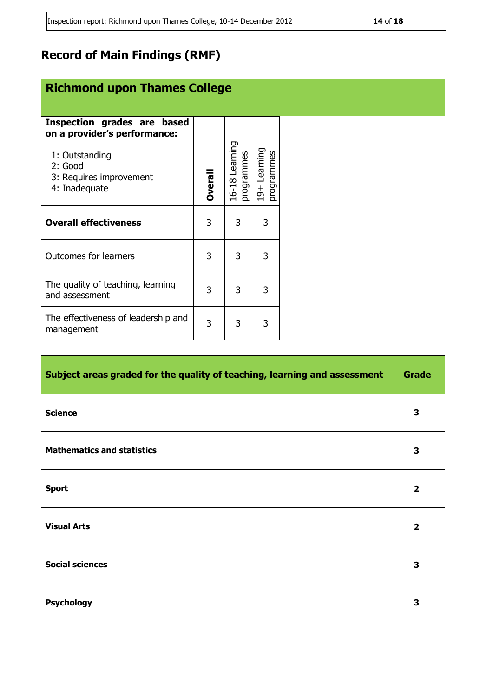## **Record of Main Findings (RMF)**

## **Richmond upon Thames College**

| Inspection grades are based<br>on a provider's performance:<br>1: Outstanding<br>2: Good<br>3: Requires improvement<br>4: Inadequate | <b>Overall</b> | 16-18 Learning<br>programmes | 19+ Learning<br>programmes |  |
|--------------------------------------------------------------------------------------------------------------------------------------|----------------|------------------------------|----------------------------|--|
| <b>Overall effectiveness</b>                                                                                                         | 3              | 3                            | 3                          |  |
| <b>Outcomes for learners</b>                                                                                                         | 3              | 3                            | 3                          |  |
| The quality of teaching, learning<br>and assessment                                                                                  |                | 3                            | 3                          |  |
| The effectiveness of leadership and<br>management                                                                                    | 3              | 3                            |                            |  |

| Subject areas graded for the quality of teaching, learning and assessment | <b>Grade</b>            |
|---------------------------------------------------------------------------|-------------------------|
| <b>Science</b>                                                            | 3                       |
| <b>Mathematics and statistics</b>                                         | 3                       |
| <b>Sport</b>                                                              | $\overline{2}$          |
| <b>Visual Arts</b>                                                        | $\overline{\mathbf{2}}$ |
| <b>Social sciences</b>                                                    | 3                       |
| <b>Psychology</b>                                                         | 3                       |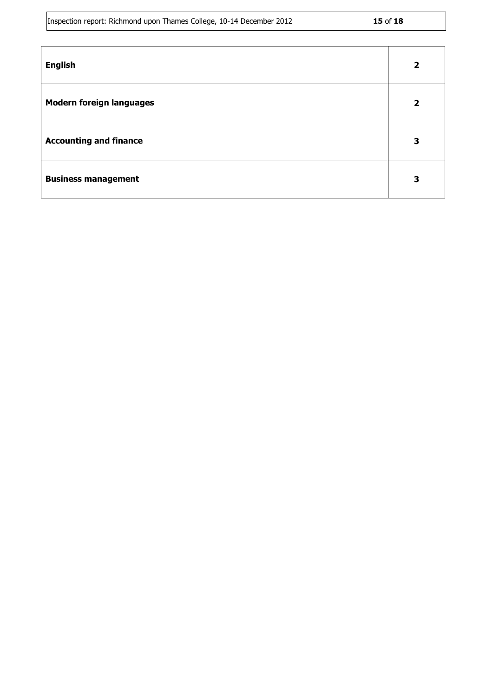|  |  | Inspection report: Richmond upon Thames College, 10-14 December 2012 | 15 of 18 |
|--|--|----------------------------------------------------------------------|----------|
|  |  |                                                                      |          |

| н<br>٠<br>۰,<br>٠ |  |
|-------------------|--|
|-------------------|--|

| <b>English</b>                  | $\overline{2}$          |
|---------------------------------|-------------------------|
| <b>Modern foreign languages</b> | $\overline{\mathbf{2}}$ |
| <b>Accounting and finance</b>   | 3                       |
| <b>Business management</b>      | 3                       |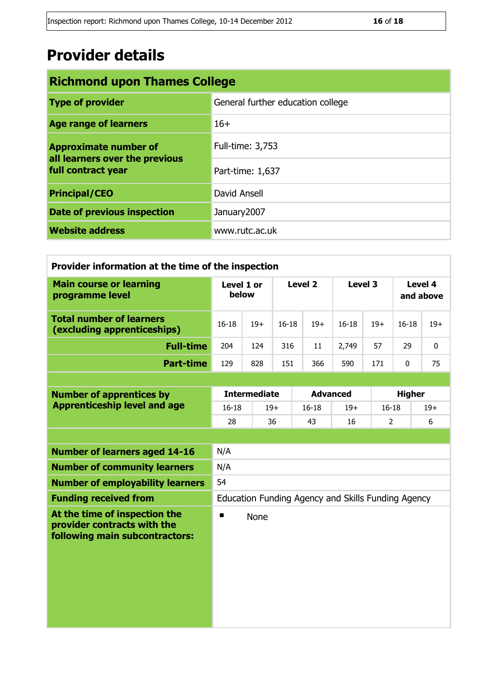## **Provider details**

| <b>Richmond upon Thames College</b>                                                  |                                   |  |  |  |
|--------------------------------------------------------------------------------------|-----------------------------------|--|--|--|
| <b>Type of provider</b>                                                              | General further education college |  |  |  |
| <b>Age range of learners</b>                                                         | $16+$                             |  |  |  |
| <b>Approximate number of</b><br>all learners over the previous<br>full contract year | Full-time: 3,753                  |  |  |  |
|                                                                                      | Part-time: 1,637                  |  |  |  |
| <b>Principal/CEO</b>                                                                 | David Ansell                      |  |  |  |
| Date of previous inspection                                                          | January 2007                      |  |  |  |
| <b>Website address</b>                                                               | www.rutc.ac.uk                    |  |  |  |

| Provider information at the time of the inspection                                             |                     |                     |           |                 |                                                    |                |                      |       |
|------------------------------------------------------------------------------------------------|---------------------|---------------------|-----------|-----------------|----------------------------------------------------|----------------|----------------------|-------|
| <b>Main course or learning</b><br>programme level                                              | Level 1 or<br>below |                     | Level 2   |                 | Level 3                                            |                | Level 4<br>and above |       |
| <b>Total number of learners</b><br>(excluding apprenticeships)                                 | $16 - 18$           | $19+$               | $16 - 18$ | $19+$           | $16 - 18$                                          | $19+$          | $16 - 18$            | $19+$ |
| <b>Full-time</b>                                                                               | 204                 | 124                 | 316       | 11              | 2,749                                              | 57             | 29                   | 0     |
| <b>Part-time</b>                                                                               | 129                 | 828                 | 151       | 366             | 590                                                | 171            | $\mathbf{0}$         | 75    |
|                                                                                                |                     |                     |           |                 |                                                    |                |                      |       |
| <b>Number of apprentices by</b>                                                                |                     | <b>Intermediate</b> |           | <b>Advanced</b> |                                                    |                | <b>Higher</b>        |       |
| <b>Apprenticeship level and age</b>                                                            | $16 - 18$           |                     | $19+$     | $16 - 18$       | $19+$                                              | $16 - 18$      |                      | $19+$ |
|                                                                                                | 28                  |                     | 36        | 43              | 16                                                 | $\overline{2}$ |                      | 6     |
|                                                                                                |                     |                     |           |                 |                                                    |                |                      |       |
| <b>Number of learners aged 14-16</b>                                                           | N/A                 |                     |           |                 |                                                    |                |                      |       |
| <b>Number of community learners</b>                                                            | N/A                 |                     |           |                 |                                                    |                |                      |       |
| <b>Number of employability learners</b>                                                        | 54                  |                     |           |                 |                                                    |                |                      |       |
| <b>Funding received from</b>                                                                   |                     |                     |           |                 | Education Funding Agency and Skills Funding Agency |                |                      |       |
| At the time of inspection the<br>provider contracts with the<br>following main subcontractors: | п                   | <b>None</b>         |           |                 |                                                    |                |                      |       |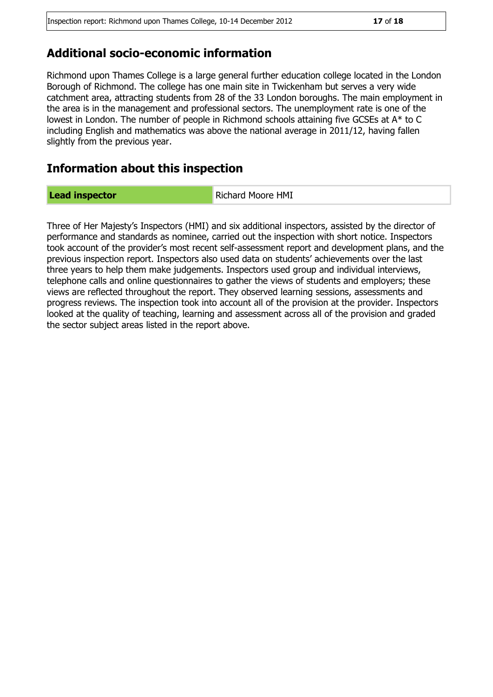### **Additional socio-economic information**

Richmond upon Thames College is a large general further education college located in the London Borough of Richmond. The college has one main site in Twickenham but serves a very wide catchment area, attracting students from 28 of the 33 London boroughs. The main employment in the area is in the management and professional sectors. The unemployment rate is one of the lowest in London. The number of people in Richmond schools attaining five GCSEs at A\* to C including English and mathematics was above the national average in 2011/12, having fallen slightly from the previous year.

### **Information about this inspection**

**Lead inspector Richard Moore HMI** 

Three of Her Majesty's Inspectors (HMI) and six additional inspectors, assisted by the director of performance and standards as nominee, carried out the inspection with short notice. Inspectors took account of the provider's most recent self-assessment report and development plans, and the previous inspection report. Inspectors also used data on students' achievements over the last three years to help them make judgements. Inspectors used group and individual interviews, telephone calls and online questionnaires to gather the views of students and employers; these views are reflected throughout the report. They observed learning sessions, assessments and progress reviews. The inspection took into account all of the provision at the provider. Inspectors looked at the quality of teaching, learning and assessment across all of the provision and graded the sector subject areas listed in the report above.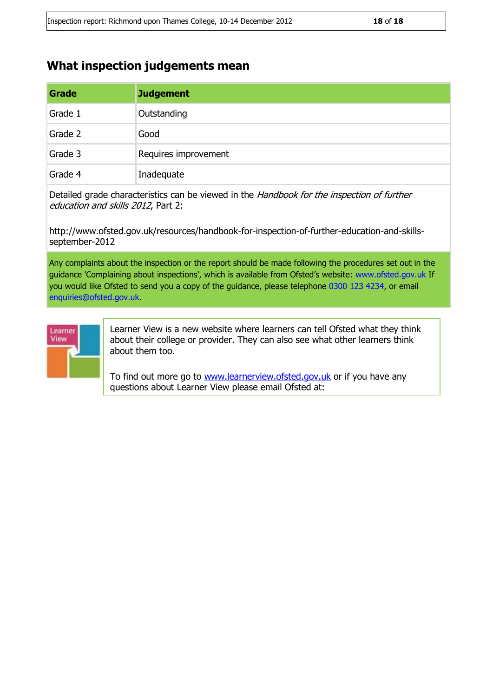[learnerview@ofsted.gov.uk](mailto:learnerview@ofsted.gov.uk)

### **What inspection judgements mean**

| Grade   | <b>Judgement</b>     |
|---------|----------------------|
| Grade 1 | Outstanding          |
| Grade 2 | Good                 |
| Grade 3 | Requires improvement |
| Grade 4 | Inadequate           |

Detailed grade characteristics can be viewed in the Handbook for the inspection of further education and skills 2012, Part 2:

http://www.ofsted.gov.uk/resources/handbook-for-inspection-of-further-education-and-skillsseptember-2012

Any complaints about the inspection or the report should be made following the procedures set out in the guidance 'Complaining about inspections', which is available from Ofsted's website: www.ofsted.gov.uk If you would like Ofsted to send you a copy of the guidance, please telephone 0300 123 4234, or email enquiries@ofsted.gov.uk.



Learner View is a new website where learners can tell Ofsted what they think about their college or provider. They can also see what other learners think about them too.

To find out more go to [www.learnerview.ofsted.gov.uk](http://www.learnerview.ofsted.gov.uk/) or if you have any questions about Learner View please email Ofsted at: